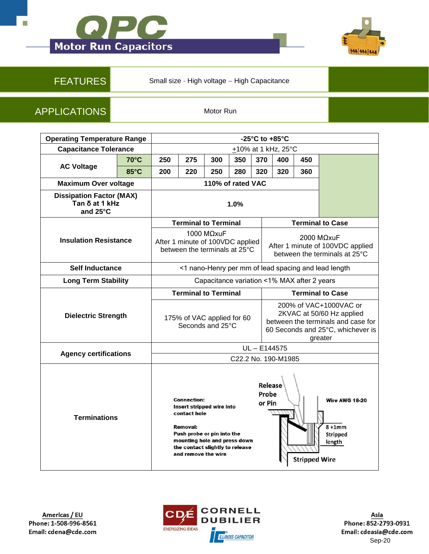



FEATURES Small size - High voltage – High Capacitance

APPLICATIONS Motor Run

| <b>Operating Temperature Range</b>                            |                | -25 $^{\circ}$ C to +85 $^{\circ}$ C                                            |                                                                                                                                                                                                            |     |     |                            |                                                                                                                                           |                      |                                                        |
|---------------------------------------------------------------|----------------|---------------------------------------------------------------------------------|------------------------------------------------------------------------------------------------------------------------------------------------------------------------------------------------------------|-----|-----|----------------------------|-------------------------------------------------------------------------------------------------------------------------------------------|----------------------|--------------------------------------------------------|
| <b>Capacitance Tolerance</b>                                  |                | +10% at 1 kHz, 25°C                                                             |                                                                                                                                                                                                            |     |     |                            |                                                                                                                                           |                      |                                                        |
| <b>AC Voltage</b>                                             | 70°C           | 250                                                                             | 275                                                                                                                                                                                                        | 300 | 350 | 370                        | 400                                                                                                                                       | 450                  |                                                        |
|                                                               | $85^{\circ}$ C | 200                                                                             | 220                                                                                                                                                                                                        | 250 | 280 | 320                        | 320                                                                                                                                       | 360                  |                                                        |
| <b>Maximum Over voltage</b>                                   |                | 110% of rated VAC                                                               |                                                                                                                                                                                                            |     |     |                            |                                                                                                                                           |                      |                                                        |
| <b>Dissipation Factor (MAX)</b><br>Tan δ at 1 kHz<br>and 25°C |                | 1.0%                                                                            |                                                                                                                                                                                                            |     |     |                            |                                                                                                                                           |                      |                                                        |
|                                                               |                | <b>Terminal to Terminal</b>                                                     |                                                                                                                                                                                                            |     |     |                            | <b>Terminal to Case</b>                                                                                                                   |                      |                                                        |
| <b>Insulation Resistance</b>                                  |                | 1000 MΩxuF<br>After 1 minute of 100VDC applied<br>between the terminals at 25°C |                                                                                                                                                                                                            |     |     |                            | 2000 MΩxuF<br>After 1 minute of 100VDC applied<br>between the terminals at 25°C                                                           |                      |                                                        |
| <b>Self Inductance</b>                                        |                | <1 nano-Henry per mm of lead spacing and lead length                            |                                                                                                                                                                                                            |     |     |                            |                                                                                                                                           |                      |                                                        |
| <b>Long Term Stability</b>                                    |                | Capacitance variation <1% MAX after 2 years                                     |                                                                                                                                                                                                            |     |     |                            |                                                                                                                                           |                      |                                                        |
| <b>Dielectric Strength</b>                                    |                | <b>Terminal to Terminal</b>                                                     |                                                                                                                                                                                                            |     |     |                            | <b>Terminal to Case</b>                                                                                                                   |                      |                                                        |
|                                                               |                | 175% of VAC applied for 60<br>Seconds and 25°C                                  |                                                                                                                                                                                                            |     |     |                            | 200% of VAC+1000VAC or<br>2KVAC at 50/60 Hz applied<br>between the terminals and case for<br>60 Seconds and 25°C, whichever is<br>greater |                      |                                                        |
| <b>Agency certifications</b>                                  |                | UL-E144575                                                                      |                                                                                                                                                                                                            |     |     |                            |                                                                                                                                           |                      |                                                        |
|                                                               |                | C22.2 No. 190-M1985                                                             |                                                                                                                                                                                                            |     |     |                            |                                                                                                                                           |                      |                                                        |
| <b>Terminations</b>                                           |                |                                                                                 | <b>Connection:</b><br>Insert stripped wire into<br>contact hole<br><b>Removal:</b><br>Push probe or pin into the<br>mounting hole and press down<br>the contact slightly to release<br>and remove the wire |     |     | Release<br>Probe<br>or Pin |                                                                                                                                           | <b>Stripped Wire</b> | <b>Wire AWG 18-20</b><br>$8+1mm$<br>Stripped<br>length |



Asia Phone: 852-2793-0931 Email: cdeasia@cde.com [Sep-20](http://www.cde.com)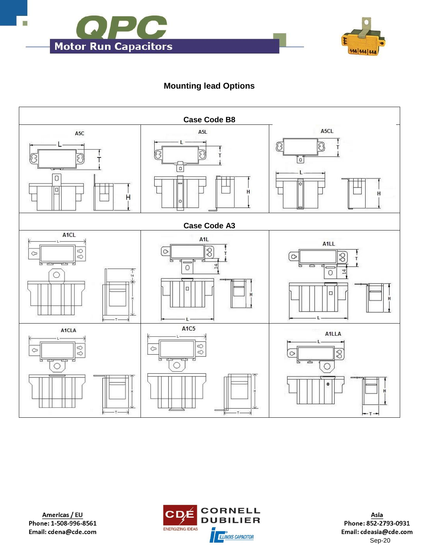



## **Mounting lead Options**





Asia Phone: 852-2793-0931 Email: cdeasia@cde.com [Sep-20](http://www.cde.com)